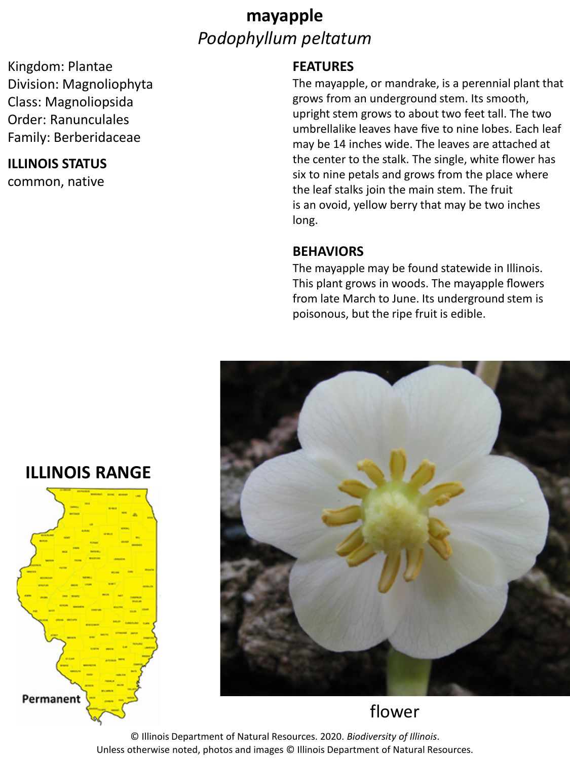# **mayapple** *Podophyllum peltatum*

## Kingdom: Plantae Division: Magnoliophyta Class: Magnoliopsida Order: Ranunculales Family: Berberidaceae

### **ILLINOIS STATUS**

common, native

## **FEATURES**

The mayapple, or mandrake, is a perennial plant that grows from an underground stem. Its smooth, upright stem grows to about two feet tall. The two umbrellalike leaves have five to nine lobes. Each leaf may be 14 inches wide. The leaves are attached at the center to the stalk. The single, white flower has six to nine petals and grows from the place where the leaf stalks join the main stem. The fruit is an ovoid, yellow berry that may be two inches long.

#### **BEHAVIORS**

The mayapple may be found statewide in Illinois. This plant grows in woods. The mayapple flowers from late March to June. Its underground stem is poisonous, but the ripe fruit is edible.



**ILLINOIS RANGE**



© Illinois Department of Natural Resources. 2020. *Biodiversity of Illinois*. Unless otherwise noted, photos and images © Illinois Department of Natural Resources.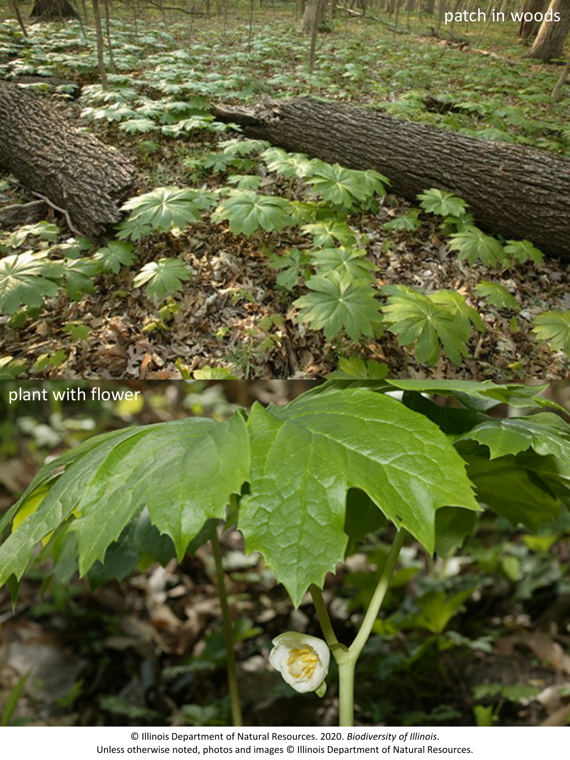plant with flower

© Illinois Department of Natural Resources. 2020. *Biodiversity of Illinois*. Unless otherwise noted, photos and images © Illinois Department of Natural Resources.